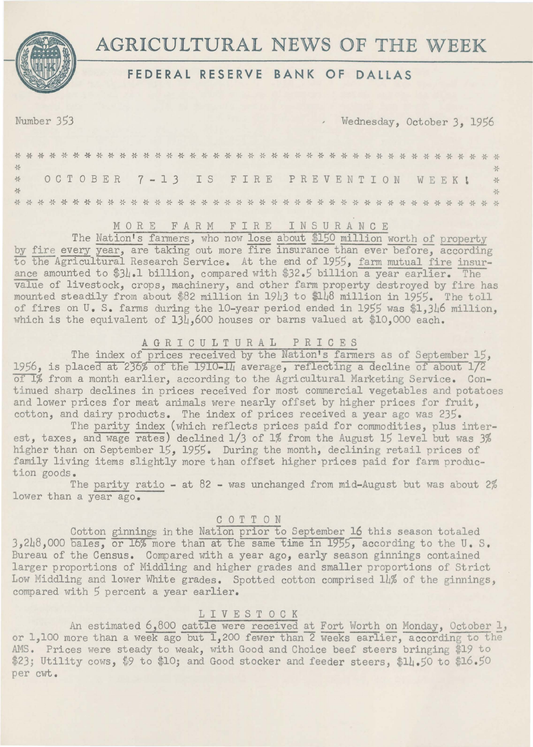

# **AGRICULTURAL NEWS OF THE WEEK**

## **FEDERAL RESERVE BANK OF DALLAS**

Number 353

Wednesday, October *3,* 1956

**\I \I i\ "'i\**   $\frac{3L}{2}$  $\Delta L$ OCT OBER 7 - <sup>1</sup>*3* I S F I R E P R E V E N T I 0 N W E E K **t**   $36$ 쏲  $\frac{\Delta \mathcal{L}}{\Delta \mathcal{L}}$ **i\ \I \I i\ "i\** 

## M 0 R E F A R M F I R E I N S U R A N C E

The Nation's farmers, who now lose about \$150 million worth of property by fire every year, are taking out more fire insurance than ever before, according to the Agricultural Research Service. At the end of 1955, farm mutual fire insurance amounted to \$34.1 billion, compared with \$32.5 billion a year earlier. The value of livestock, crops, machinery, and other farm property destroyed by fire has mounted steadily from about \$82 million in 1943 to \$148 million in 1955. The toll of fires on U. S. farms during the 10-year period ended in 1955 was \$1,3L6 million, which is the equivalent of 13L,600 houses or barns valued at \$10,000 each.

## **A** G R I C U **L** T U R A **L** P R I C E S

The index of prices received by the Nation's farmers as of September 15, 1956, is placed at 236% of the 1910-IL average, reflecting a decline of about 172 of I% from a month earlier, according to the Agricultural Marketing Service. Continued sharp declines in prices received for most commercial vegetables and potatoes and lower prices for meat animals were nearly offset by higher prices for fruit, cotton, and dairy products. The index of prices received a year ago was 235.

The parity index (which reflects prices paid for commodities, plus interest, taxes, and wage rates) declined 1/3 of **1%** from the August 15 level but was 3% higher than on September 15, 1955. During the month, declining retail prices of family living items slightly more than offset higher prices paid for farm production goods.

The parity ratio - at  $82$  - was unchanged from mid-August but was about  $2\%$ lower than a year ago.

#### COTTON

Cotton ginnings in the Nation prior to September 16 this season totaled 3,248,000 bales, or 16% more than at the same time in 1955, according to the U.S. Bureau of the Census. Compared with a year ago, early season ginnings contained larger proportions of Middling and higher grades and smaller proportions of Strict Low Middling and lower White grades. Spotted cotton comprised 1L% of the ginnings, compared with 5 percent a year earlier.

## LIVESTOCK

An estimated 6,800 cattle were received at Fort Worth on Monday, October 1, or 1,100 more than a week ago but 1,200 fewer than 2 weeks earlier, according to the AMS. Prices were steady to weak, with Good and Choice beef steers bringing \$19 to \$23; Utility cows, \$9 to \$10; and Good stocker and feeder steers, \$14.50 to \$16.50 per cwt.